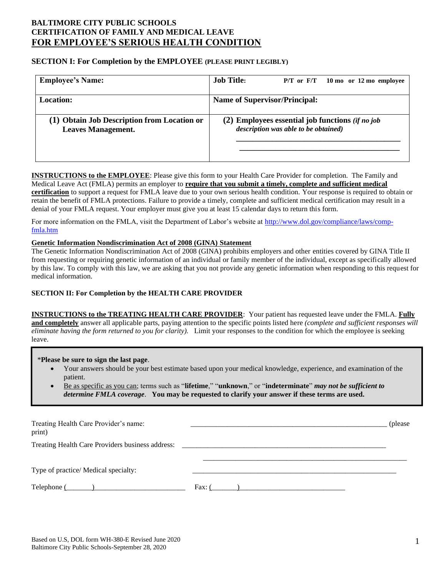# **BALTIMORE CITY PUBLIC SCHOOLS CERTIFICATION OF FAMILY AND MEDICAL LEAVE FOR EMPLOYEE'S SERIOUS HEALTH CONDITION**

## **SECTION I: For Completion by the EMPLOYEE (PLEASE PRINT LEGIBLY)**

| <b>Employee's Name:</b>                                                  | <b>Job Title:</b><br>$P/T$ or $F/T$ 10 mo or 12 mo employee                                         |
|--------------------------------------------------------------------------|-----------------------------------------------------------------------------------------------------|
| <b>Location:</b>                                                         | <b>Name of Supervisor/Principal:</b>                                                                |
| (1) Obtain Job Description from Location or<br><b>Leaves Management.</b> | $(2)$ Employees essential job functions <i>(if no job</i> )<br>description was able to be obtained) |

**INSTRUCTIONS to the EMPLOYEE**: Please give this form to your Health Care Provider for completion. The Family and Medical Leave Act (FMLA) permits an employer to **require that you submit a timely, complete and sufficient medical certification** to support a request for FMLA leave due to your own serious health condition. Your response is required to obtain or retain the benefit of FMLA protections. Failure to provide a timely, complete and sufficient medical certification may result in a denial of your FMLA request. Your employer must give you at least 15 calendar days to return this form.

For more information on the FMLA, visit the Department of Labor's website at [http://www.dol.gov/compliance/laws/comp](http://www.dol.gov/compliance/laws/comp-fmla.htm)[fmla.htm](http://www.dol.gov/compliance/laws/comp-fmla.htm)

# **Genetic Information Nondiscrimination Act of 2008 (GINA) Statement**

The Genetic Information Nondiscrimination Act of 2008 (GINA) prohibits employers and other entities covered by GINA Title II from requesting or requiring genetic information of an individual or family member of the individual, except as specifically allowed by this law. To comply with this law, we are asking that you not provide any genetic information when responding to this request for medical information.

### **SECTION II: For Completion by the HEALTH CARE PROVIDER**

**INSTRUCTIONS to the TREATING HEALTH CARE PROVIDER**: Your patient has requested leave under the FMLA. **Fully and completely** answer all applicable parts, paying attention to the specific points listed here *(complete and sufficient responses will eliminate having the form returned to you for clarity).* Limit your responses to the condition for which the employee is seeking leave.

#### \***Please be sure to sign the last page**.

- Your answers should be your best estimate based upon your medical knowledge, experience, and examination of the patient.
- Be as specific as you can; terms such as "**lifetime**," "**unknown**," or "**indeterminate**" *may not be sufficient to determine FMLA coverage*. **You may be requested to clarify your answer if these terms are used.**

| Treating Health Care Provider's name:<br>print)                                  |        | (please) |
|----------------------------------------------------------------------------------|--------|----------|
| Treating Health Care Providers business address: _______________________________ |        |          |
| Type of practice/ Medical specialty:                                             |        |          |
|                                                                                  | Fax: ( |          |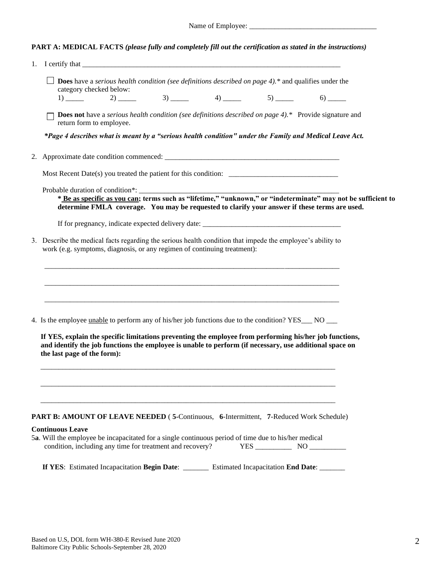| Name of Employee: |  |
|-------------------|--|
|                   |  |

| <b>PART A: MEDICAL FACTS (please fully and completely fill out the certification as stated in the instructions)</b> |  |  |
|---------------------------------------------------------------------------------------------------------------------|--|--|
|                                                                                                                     |  |  |

| 1. | I certify that $\frac{1}{\sqrt{1-\frac{1}{2}}\sqrt{1-\frac{1}{2}}\sqrt{1-\frac{1}{2}}\sqrt{1-\frac{1}{2}}\sqrt{1-\frac{1}{2}}\sqrt{1-\frac{1}{2}}\sqrt{1-\frac{1}{2}}\sqrt{1-\frac{1}{2}}\sqrt{1-\frac{1}{2}}\sqrt{1-\frac{1}{2}}\sqrt{1-\frac{1}{2}}\sqrt{1-\frac{1}{2}}\sqrt{1-\frac{1}{2}}\sqrt{1-\frac{1}{2}}\sqrt{1-\frac{1}{2}}\sqrt{1-\frac{1}{2}}\sqrt{1-\frac{1}{2}}\sqrt{1-\frac{1}{2}}\sqrt$ |
|----|---------------------------------------------------------------------------------------------------------------------------------------------------------------------------------------------------------------------------------------------------------------------------------------------------------------------------------------------------------------------------------------------------------|
|    | $\Box$ Does have a <i>serious health condition (see definitions described on page 4)</i> .* and qualifies under the<br>category checked below:<br>$1)$ 2) 3) 4) 5) 5) 6)                                                                                                                                                                                                                                |
|    | <b>Does not</b> have a <i>serious health condition (see definitions described on page 4)</i> .* Provide signature and<br>return form to employee.                                                                                                                                                                                                                                                       |
|    | *Page 4 describes what is meant by a "serious health condition" under the Family and Medical Leave Act.                                                                                                                                                                                                                                                                                                 |
|    |                                                                                                                                                                                                                                                                                                                                                                                                         |
|    |                                                                                                                                                                                                                                                                                                                                                                                                         |
|    | Probable duration of condition*: __________<br>* Be as specific as you can; terms such as "lifetime," "unknown," or "indeterminate" may not be sufficient to<br>determine FMLA coverage. You may be requested to clarify your answer if these terms are used.                                                                                                                                           |
|    |                                                                                                                                                                                                                                                                                                                                                                                                         |
|    | 3. Describe the medical facts regarding the serious health condition that impede the employee's ability to<br>work (e.g. symptoms, diagnosis, or any regimen of continuing treatment):                                                                                                                                                                                                                  |
|    |                                                                                                                                                                                                                                                                                                                                                                                                         |
|    | 4. Is the employee unable to perform any of his/her job functions due to the condition? YES___ NO __                                                                                                                                                                                                                                                                                                    |
|    | If YES, explain the specific limitations preventing the employee from performing his/her job functions,<br>and identify the job functions the employee is unable to perform (if necessary, use additional space on<br>the last page of the form):                                                                                                                                                       |
|    |                                                                                                                                                                                                                                                                                                                                                                                                         |
|    | PART B: AMOUNT OF LEAVE NEEDED (5-Continuous, 6-Intermittent, 7-Reduced Work Schedule)                                                                                                                                                                                                                                                                                                                  |
|    | <b>Continuous Leave</b><br>5a. Will the employee be incapacitated for a single continuous period of time due to his/her medical<br>condition, including any time for treatment and recovery?                                                                                                                                                                                                            |
|    | If YES: Estimated Incapacitation Begin Date: _______ Estimated Incapacitation End Date: ______                                                                                                                                                                                                                                                                                                          |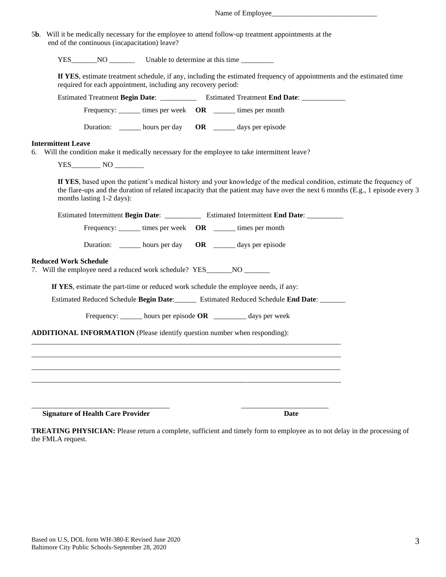| 5b. Will it be medically necessary for the employee to attend follow-up treatment appointments at the<br>end of the continuous (incapacitation) leave?                                                                                                                                 |
|----------------------------------------------------------------------------------------------------------------------------------------------------------------------------------------------------------------------------------------------------------------------------------------|
|                                                                                                                                                                                                                                                                                        |
| If YES, estimate treatment schedule, if any, including the estimated frequency of appointments and the estimated time<br>required for each appointment, including any recovery period:                                                                                                 |
| Estimated Treatment Begin Date: _____________ Estimated Treatment End Date: ___________                                                                                                                                                                                                |
| Frequency: _______ times per week OR _______ times per month                                                                                                                                                                                                                           |
| Duration: _______ hours per day OR _______ days per episode                                                                                                                                                                                                                            |
| <b>Intermittent Leave</b><br>6. Will the condition make it medically necessary for the employee to take intermittent leave?                                                                                                                                                            |
| If YES, based upon the patient's medical history and your knowledge of the medical condition, estimate the frequency of<br>the flare-ups and the duration of related incapacity that the patient may have over the next 6 months (E.g., 1 episode every 3<br>months lasting 1-2 days): |
| Estimated Intermittent Begin Date: Estimated Intermittent End Date:                                                                                                                                                                                                                    |
| Frequency: _______ times per week OR ______ times per month                                                                                                                                                                                                                            |
| Duration: _______ hours per day OR _______ days per episode                                                                                                                                                                                                                            |
| <b>Reduced Work Schedule</b><br>7. Will the employee need a reduced work schedule? YES_______NO ________                                                                                                                                                                               |
| If YES, estimate the part-time or reduced work schedule the employee needs, if any:                                                                                                                                                                                                    |
| Estimated Reduced Schedule Begin Date: _______ Estimated Reduced Schedule End Date: _______                                                                                                                                                                                            |
| Frequency: ______ hours per episode OR ________ days per week                                                                                                                                                                                                                          |
| <b>ADDITIONAL INFORMATION</b> (Please identify question number when responding):                                                                                                                                                                                                       |
|                                                                                                                                                                                                                                                                                        |
|                                                                                                                                                                                                                                                                                        |
|                                                                                                                                                                                                                                                                                        |
|                                                                                                                                                                                                                                                                                        |
| <b>Signature of Health Care Provider</b><br><b>Date</b>                                                                                                                                                                                                                                |

**TREATING PHYSICIAN:** Please return a complete, sufficient and timely form to employee as to not delay in the processing of the FMLA request.